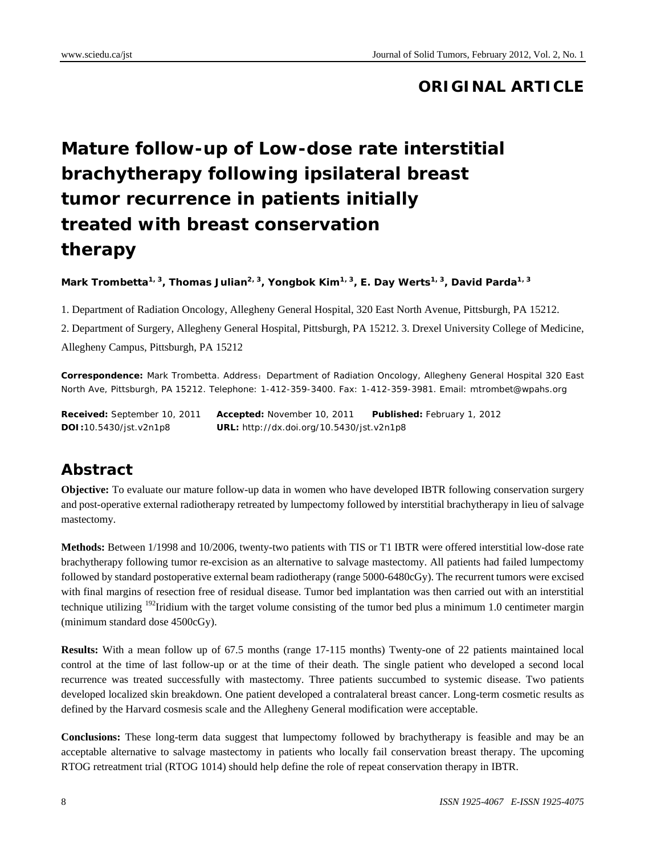# **ORIGINAL ARTICLE**

# **Mature follow-up of Low-dose rate interstitial brachytherapy following ipsilateral breast tumor recurrence in patients initially treated with breast conservation therapy**

Mark Trombetta<sup>1, 3</sup>, Thomas Julian<sup>2, 3</sup>, Yongbok Kim<sup>1, 3</sup>, E. Day Werts<sup>1, 3</sup>, David Parda<sup>1, 3</sup>

1. Department of Radiation Oncology, Allegheny General Hospital, 320 East North Avenue, Pittsburgh, PA 15212.

2. Department of Surgery, Allegheny General Hospital, Pittsburgh, PA 15212. 3. Drexel University College of Medicine, Allegheny Campus, Pittsburgh, PA 15212

Correspondence: Mark Trombetta. Address: Department of Radiation Oncology, Allegheny General Hospital 320 East North Ave, Pittsburgh, PA 15212. Telephone: 1-412-359-3400. Fax: 1-412-359-3981. Email: mtrombet@wpahs.org

**Received:** September 10, 2011 **Accepted:** November 10, 2011 **Published:** February 1, 2012 **DOI:**10.5430/jst.v2n1p8 **URL:** http://dx.doi.org/10.5430/jst.v2n1p8

# **Abstract**

**Objective:** To evaluate our mature follow-up data in women who have developed IBTR following conservation surgery and post-operative external radiotherapy retreated by lumpectomy followed by interstitial brachytherapy in lieu of salvage mastectomy.

**Methods:** Between 1/1998 and 10/2006, twenty-two patients with TIS or T1 IBTR were offered interstitial low-dose rate brachytherapy following tumor re-excision as an alternative to salvage mastectomy. All patients had failed lumpectomy followed by standard postoperative external beam radiotherapy (range 5000-6480cGy). The recurrent tumors were excised with final margins of resection free of residual disease. Tumor bed implantation was then carried out with an interstitial technique utilizing <sup>192</sup>Iridium with the target volume consisting of the tumor bed plus a minimum 1.0 centimeter margin (minimum standard dose 4500cGy).

**Results:** With a mean follow up of 67.5 months (range 17-115 months) Twenty-one of 22 patients maintained local control at the time of last follow-up or at the time of their death. The single patient who developed a second local recurrence was treated successfully with mastectomy. Three patients succumbed to systemic disease. Two patients developed localized skin breakdown. One patient developed a contralateral breast cancer. Long-term cosmetic results as defined by the Harvard cosmesis scale and the Allegheny General modification were acceptable.

**Conclusions:** These long-term data suggest that lumpectomy followed by brachytherapy is feasible and may be an acceptable alternative to salvage mastectomy in patients who locally fail conservation breast therapy. The upcoming RTOG retreatment trial (RTOG 1014) should help define the role of repeat conservation therapy in IBTR.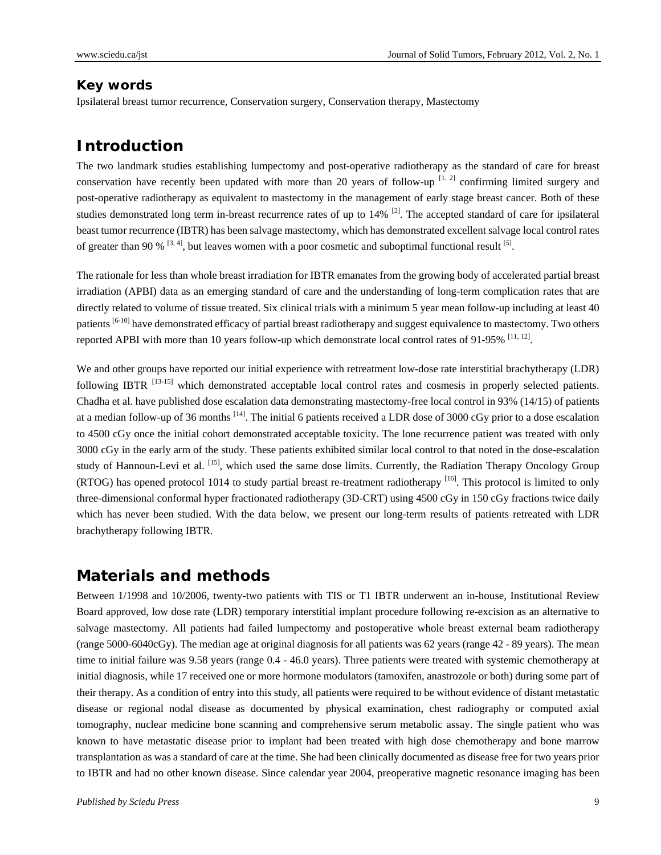#### **Key words**

Ipsilateral breast tumor recurrence, Conservation surgery, Conservation therapy, Mastectomy

### **Introduction**

The two landmark studies establishing lumpectomy and post-operative radiotherapy as the standard of care for breast conservation have recently been updated with more than 20 years of follow-up  $[1, 2]$  confirming limited surgery and post-operative radiotherapy as equivalent to mastectomy in the management of early stage breast cancer. Both of these studies demonstrated long term in-breast recurrence rates of up to 14% <sup>[2]</sup>. The accepted standard of care for ipsilateral beast tumor recurrence (IBTR) has been salvage mastectomy, which has demonstrated excellent salvage local control rates of greater than 90 %  $[3, 4]$ , but leaves women with a poor cosmetic and suboptimal functional result  $[5]$ .

The rationale for less than whole breast irradiation for IBTR emanates from the growing body of accelerated partial breast irradiation (APBI) data as an emerging standard of care and the understanding of long-term complication rates that are directly related to volume of tissue treated. Six clinical trials with a minimum 5 year mean follow-up including at least 40 patients <sup>[6-10]</sup> have demonstrated efficacy of partial breast radiotherapy and suggest equivalence to mastectomy. Two others reported APBI with more than 10 years follow-up which demonstrate local control rates of 91-95% [11, 12].

We and other groups have reported our initial experience with retreatment low-dose rate interstitial brachytherapy (LDR) following IBTR<sup>[13-15]</sup> which demonstrated acceptable local control rates and cosmesis in properly selected patients. Chadha et al. have published dose escalation data demonstrating mastectomy-free local control in 93% (14/15) of patients at a median follow-up of 36 months [14]. The initial 6 patients received a LDR dose of 3000 cGy prior to a dose escalation to 4500 cGy once the initial cohort demonstrated acceptable toxicity. The lone recurrence patient was treated with only 3000 cGy in the early arm of the study. These patients exhibited similar local control to that noted in the dose-escalation study of Hannoun-Levi et al.  $^{[15]}$ , which used the same dose limits. Currently, the Radiation Therapy Oncology Group (RTOG) has opened protocol 1014 to study partial breast re-treatment radiotherapy [16]. This protocol is limited to only three-dimensional conformal hyper fractionated radiotherapy (3D-CRT) using 4500 cGy in 150 cGy fractions twice daily which has never been studied. With the data below, we present our long-term results of patients retreated with LDR brachytherapy following IBTR.

#### **Materials and methods**

Between 1/1998 and 10/2006, twenty-two patients with TIS or T1 IBTR underwent an in-house, Institutional Review Board approved, low dose rate (LDR) temporary interstitial implant procedure following re-excision as an alternative to salvage mastectomy. All patients had failed lumpectomy and postoperative whole breast external beam radiotherapy (range 5000-6040cGy). The median age at original diagnosis for all patients was 62 years (range 42 - 89 years). The mean time to initial failure was 9.58 years (range 0.4 - 46.0 years). Three patients were treated with systemic chemotherapy at initial diagnosis, while 17 received one or more hormone modulators (tamoxifen, anastrozole or both) during some part of their therapy. As a condition of entry into this study, all patients were required to be without evidence of distant metastatic disease or regional nodal disease as documented by physical examination, chest radiography or computed axial tomography, nuclear medicine bone scanning and comprehensive serum metabolic assay. The single patient who was known to have metastatic disease prior to implant had been treated with high dose chemotherapy and bone marrow transplantation as was a standard of care at the time. She had been clinically documented as disease free for two years prior to IBTR and had no other known disease. Since calendar year 2004, preoperative magnetic resonance imaging has been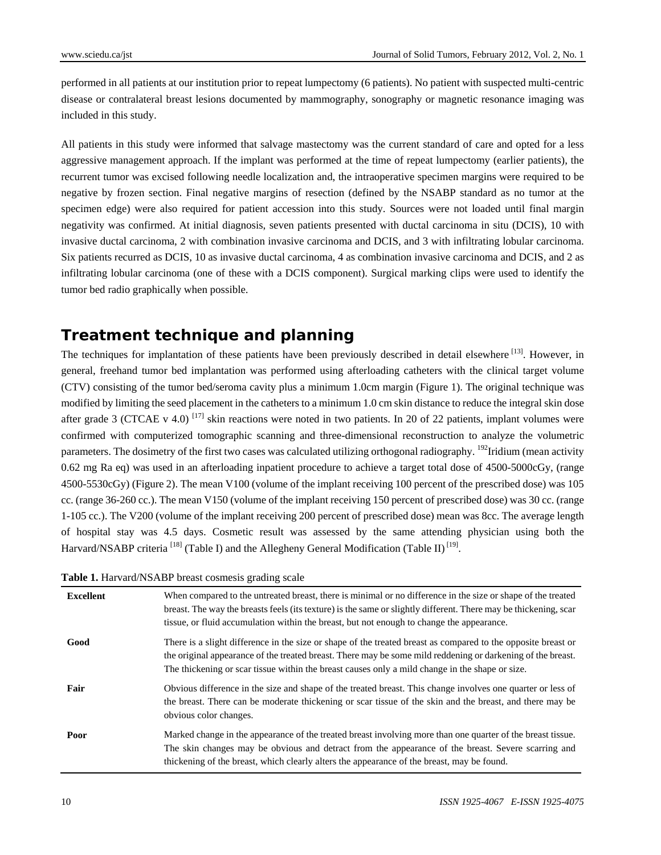performed in all patients at our institution prior to repeat lumpectomy (6 patients). No patient with suspected multi-centric disease or contralateral breast lesions documented by mammography, sonography or magnetic resonance imaging was included in this study.

All patients in this study were informed that salvage mastectomy was the current standard of care and opted for a less aggressive management approach. If the implant was performed at the time of repeat lumpectomy (earlier patients), the recurrent tumor was excised following needle localization and, the intraoperative specimen margins were required to be negative by frozen section. Final negative margins of resection (defined by the NSABP standard as no tumor at the specimen edge) were also required for patient accession into this study. Sources were not loaded until final margin negativity was confirmed. At initial diagnosis, seven patients presented with ductal carcinoma in situ (DCIS), 10 with invasive ductal carcinoma, 2 with combination invasive carcinoma and DCIS, and 3 with infiltrating lobular carcinoma. Six patients recurred as DCIS, 10 as invasive ductal carcinoma, 4 as combination invasive carcinoma and DCIS, and 2 as infiltrating lobular carcinoma (one of these with a DCIS component). Surgical marking clips were used to identify the tumor bed radio graphically when possible.

## **Treatment technique and planning**

The techniques for implantation of these patients have been previously described in detail elsewhere  $^{[13]}$ . However, in general, freehand tumor bed implantation was performed using afterloading catheters with the clinical target volume (CTV) consisting of the tumor bed/seroma cavity plus a minimum 1.0cm margin (Figure 1). The original technique was modified by limiting the seed placement in the catheters to a minimum 1.0 cm skin distance to reduce the integral skin dose after grade 3 (CTCAE v 4.0)  $^{[17]}$  skin reactions were noted in two patients. In 20 of 22 patients, implant volumes were confirmed with computerized tomographic scanning and three-dimensional reconstruction to analyze the volumetric parameters. The dosimetry of the first two cases was calculated utilizing orthogonal radiography. <sup>192</sup>Iridium (mean activity 0.62 mg Ra eq) was used in an afterloading inpatient procedure to achieve a target total dose of 4500-5000cGy, (range 4500-5530cGy) (Figure 2). The mean V100 (volume of the implant receiving 100 percent of the prescribed dose) was 105 cc. (range 36-260 cc.). The mean V150 (volume of the implant receiving 150 percent of prescribed dose) was 30 cc. (range 1-105 cc.). The V200 (volume of the implant receiving 200 percent of prescribed dose) mean was 8cc. The average length of hospital stay was 4.5 days. Cosmetic result was assessed by the same attending physician using both the Harvard/NSABP criteria <sup>[18]</sup> (Table I) and the Allegheny General Modification (Table II)<sup>[19]</sup>.

| Table 1. Harvard/NSABP breast cosmesis grading scale |  |
|------------------------------------------------------|--|
|------------------------------------------------------|--|

| <b>Excellent</b> | When compared to the untreated breast, there is minimal or no difference in the size or shape of the treated<br>breast. The way the breasts feels (its texture) is the same or slightly different. There may be thickening, scar<br>tissue, or fluid accumulation within the breast, but not enough to change the appearance.   |
|------------------|---------------------------------------------------------------------------------------------------------------------------------------------------------------------------------------------------------------------------------------------------------------------------------------------------------------------------------|
| Good             | There is a slight difference in the size or shape of the treated breast as compared to the opposite breast or<br>the original appearance of the treated breast. There may be some mild reddening or darkening of the breast.<br>The thickening or scar tissue within the breast causes only a mild change in the shape or size. |
| Fair             | Obvious difference in the size and shape of the treated breast. This change involves one quarter or less of<br>the breast. There can be moderate thickening or scar tissue of the skin and the breast, and there may be<br>obvious color changes.                                                                               |
| Poor             | Marked change in the appearance of the treated breast involving more than one quarter of the breast tissue.<br>The skin changes may be obvious and detract from the appearance of the breast. Severe scarring and<br>thickening of the breast, which clearly alters the appearance of the breast, may be found.                 |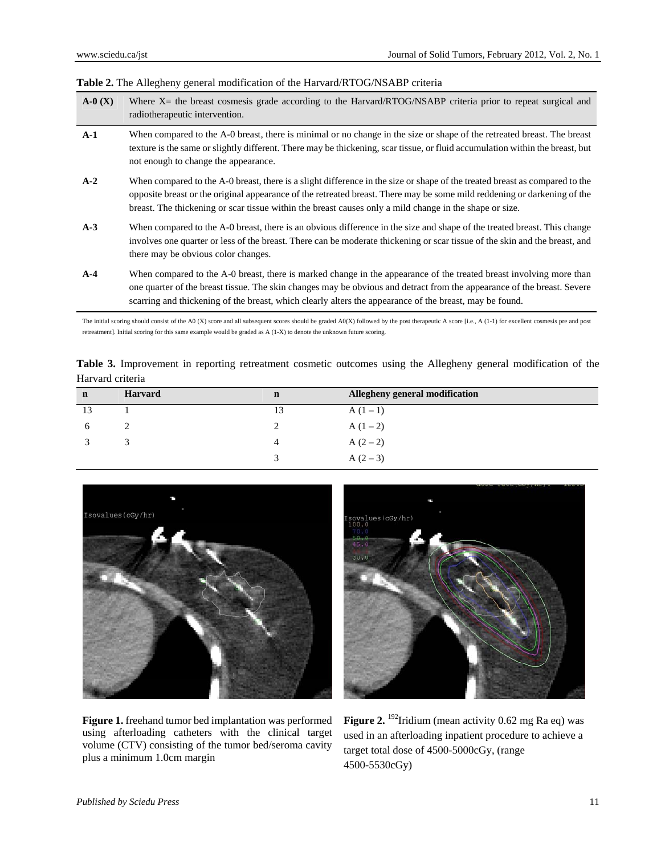|  |  |  | <b>Table 2.</b> The Allegheny general modification of the Harvard/RTOG/NSABP criteria |  |  |  |  |  |
|--|--|--|---------------------------------------------------------------------------------------|--|--|--|--|--|
|--|--|--|---------------------------------------------------------------------------------------|--|--|--|--|--|

| $A-0(X)$ | Where X= the breast cosmesis grade according to the Harvard/RTOG/NSABP criteria prior to repeat surgical and<br>radiotherapeutic intervention.                                                                                                                                                                                                                     |
|----------|--------------------------------------------------------------------------------------------------------------------------------------------------------------------------------------------------------------------------------------------------------------------------------------------------------------------------------------------------------------------|
| $A-1$    | When compared to the A-0 breast, there is minimal or no change in the size or shape of the retreated breast. The breast<br>texture is the same or slightly different. There may be thickening, scar tissue, or fluid accumulation within the breast, but<br>not enough to change the appearance.                                                                   |
| $A-2$    | When compared to the A-0 breast, there is a slight difference in the size or shape of the treated breast as compared to the<br>opposite breast or the original appearance of the retreated breast. There may be some mild reddening or darkening of the<br>breast. The thickening or scar tissue within the breast causes only a mild change in the shape or size. |
| $A-3$    | When compared to the A-0 breast, there is an obvious difference in the size and shape of the treated breast. This change<br>involves one quarter or less of the breast. There can be moderate thickening or scar tissue of the skin and the breast, and<br>there may be obvious color changes.                                                                     |
| $A-4$    | When compared to the A-0 breast, there is marked change in the appearance of the treated breast involving more than<br>one quarter of the breast tissue. The skin changes may be obvious and detract from the appearance of the breast. Severe<br>scarring and thickening of the breast, which clearly alters the appearance of the breast, may be found.          |

The initial scoring should consist of the A0 (X) score and all subsequent scores should be graded A0(X) followed by the post therapeutic A score [i.e., A (1-1) for excellent cosmesis pre and post retreatment]. Initial scoring for this same example would be graded as A (1-X) to denote the unknown future scoring.

|                  | Table 3. Improvement in reporting retreatment cosmetic outcomes using the Allegheny general modification of the |  |  |  |  |  |
|------------------|-----------------------------------------------------------------------------------------------------------------|--|--|--|--|--|
| Harvard criteria |                                                                                                                 |  |  |  |  |  |

| n  | <b>Harvard</b> | $\mathbf n$ | Allegheny general modification |
|----|----------------|-------------|--------------------------------|
| 13 |                | 13          | $A(1-1)$                       |
|    |                |             | $A(1-2)$                       |
|    |                | 4           | $A(2-2)$                       |
|    |                |             | $A(2-3)$                       |



**Figure 1.** freehand tumor bed implantation was performed using afterloading catheters with the clinical target volume (CTV) consisting of the tumor bed/seroma cavity plus a minimum 1.0cm margin



**Figure 2.** <sup>192</sup>Iridium (mean activity 0.62 mg Ra eq) was used in an afterloading inpatient procedure to achieve a target total dose of 4500-5000cGy, (range 4500-5530cGy)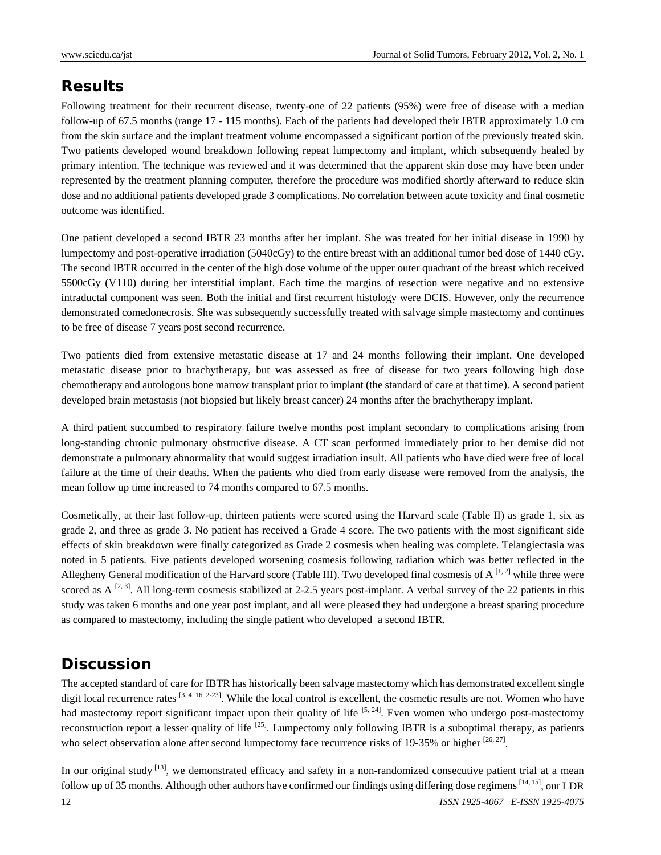# **Results**

Following treatment for their recurrent disease, twenty-one of 22 patients (95%) were free of disease with a median follow-up of 67.5 months (range 17 - 115 months). Each of the patients had developed their IBTR approximately 1.0 cm from the skin surface and the implant treatment volume encompassed a significant portion of the previously treated skin. Two patients developed wound breakdown following repeat lumpectomy and implant, which subsequently healed by primary intention. The technique was reviewed and it was determined that the apparent skin dose may have been under represented by the treatment planning computer, therefore the procedure was modified shortly afterward to reduce skin dose and no additional patients developed grade 3 complications. No correlation between acute toxicity and final cosmetic outcome was identified.

One patient developed a second IBTR 23 months after her implant. She was treated for her initial disease in 1990 by lumpectomy and post-operative irradiation (5040cGy) to the entire breast with an additional tumor bed dose of 1440 cGy. The second IBTR occurred in the center of the high dose volume of the upper outer quadrant of the breast which received 5500cGy (V110) during her interstitial implant. Each time the margins of resection were negative and no extensive intraductal component was seen. Both the initial and first recurrent histology were DCIS. However, only the recurrence demonstrated comedonecrosis. She was subsequently successfully treated with salvage simple mastectomy and continues to be free of disease 7 years post second recurrence.

Two patients died from extensive metastatic disease at 17 and 24 months following their implant. One developed metastatic disease prior to brachytherapy, but was assessed as free of disease for two years following high dose chemotherapy and autologous bone marrow transplant prior to implant (the standard of care at that time). A second patient developed brain metastasis (not biopsied but likely breast cancer) 24 months after the brachytherapy implant.

A third patient succumbed to respiratory failure twelve months post implant secondary to complications arising from long-standing chronic pulmonary obstructive disease. A CT scan performed immediately prior to her demise did not demonstrate a pulmonary abnormality that would suggest irradiation insult. All patients who have died were free of local failure at the time of their deaths. When the patients who died from early disease were removed from the analysis, the mean follow up time increased to 74 months compared to 67.5 months.

Cosmetically, at their last follow-up, thirteen patients were scored using the Harvard scale (Table II) as grade 1, six as grade 2, and three as grade 3. No patient has received a Grade 4 score. The two patients with the most significant side effects of skin breakdown were finally categorized as Grade 2 cosmesis when healing was complete. Telangiectasia was noted in 5 patients. Five patients developed worsening cosmesis following radiation which was better reflected in the Allegheny General modification of the Harvard score (Table III). Two developed final cosmesis of  $A^{[1,2]}$  while three were scored as  $A^{[2, 3]}$ . All long-term cosmesis stabilized at 2-2.5 years post-implant. A verbal survey of the 22 patients in this study was taken 6 months and one year post implant, and all were pleased they had undergone a breast sparing procedure as compared to mastectomy, including the single patient who developed a second IBTR.

## **Discussion**

The accepted standard of care for IBTR has historically been salvage mastectomy which has demonstrated excellent single digit local recurrence rates  $[3, 4, 16, 2-23]$ . While the local control is excellent, the cosmetic results are not. Women who have had mastectomy report significant impact upon their quality of life  $[5, 24]$ . Even women who undergo post-mastectomy reconstruction report a lesser quality of life  $^{[25]}$ . Lumpectomy only following IBTR is a suboptimal therapy, as patients who select observation alone after second lumpectomy face recurrence risks of 19-35% or higher  $^{[26, 27]}$ .

12 *ISSN 1925-4067 E-ISSN 1925-4075*  In our original study  $\left[13\right]$ , we demonstrated efficacy and safety in a non-randomized consecutive patient trial at a mean follow up of 35 months. Although other authors have confirmed our findings using differing dose regimens  $[14, 15]$ , our LDR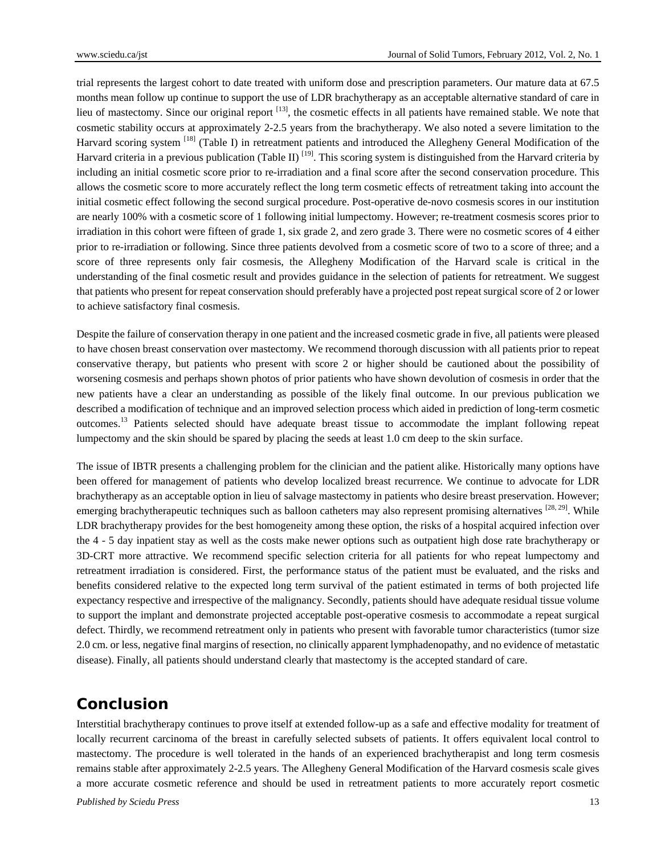trial represents the largest cohort to date treated with uniform dose and prescription parameters. Our mature data at 67.5 months mean follow up continue to support the use of LDR brachytherapy as an acceptable alternative standard of care in lieu of mastectomy. Since our original report [13], the cosmetic effects in all patients have remained stable. We note that cosmetic stability occurs at approximately 2-2.5 years from the brachytherapy. We also noted a severe limitation to the Harvard scoring system <sup>[18]</sup> (Table I) in retreatment patients and introduced the Allegheny General Modification of the Harvard criteria in a previous publication (Table II)  $^{[19]}$ . This scoring system is distinguished from the Harvard criteria by including an initial cosmetic score prior to re-irradiation and a final score after the second conservation procedure. This allows the cosmetic score to more accurately reflect the long term cosmetic effects of retreatment taking into account the initial cosmetic effect following the second surgical procedure. Post-operative de-novo cosmesis scores in our institution are nearly 100% with a cosmetic score of 1 following initial lumpectomy. However; re-treatment cosmesis scores prior to irradiation in this cohort were fifteen of grade 1, six grade 2, and zero grade 3. There were no cosmetic scores of 4 either prior to re-irradiation or following. Since three patients devolved from a cosmetic score of two to a score of three; and a score of three represents only fair cosmesis, the Allegheny Modification of the Harvard scale is critical in the understanding of the final cosmetic result and provides guidance in the selection of patients for retreatment. We suggest that patients who present for repeat conservation should preferably have a projected post repeat surgical score of 2 or lower to achieve satisfactory final cosmesis.

Despite the failure of conservation therapy in one patient and the increased cosmetic grade in five, all patients were pleased to have chosen breast conservation over mastectomy. We recommend thorough discussion with all patients prior to repeat conservative therapy, but patients who present with score 2 or higher should be cautioned about the possibility of worsening cosmesis and perhaps shown photos of prior patients who have shown devolution of cosmesis in order that the new patients have a clear an understanding as possible of the likely final outcome. In our previous publication we described a modification of technique and an improved selection process which aided in prediction of long-term cosmetic outcomes.13 Patients selected should have adequate breast tissue to accommodate the implant following repeat lumpectomy and the skin should be spared by placing the seeds at least 1.0 cm deep to the skin surface.

The issue of IBTR presents a challenging problem for the clinician and the patient alike. Historically many options have been offered for management of patients who develop localized breast recurrence. We continue to advocate for LDR brachytherapy as an acceptable option in lieu of salvage mastectomy in patients who desire breast preservation. However; emerging brachytherapeutic techniques such as balloon catheters may also represent promising alternatives [28, 29]. While LDR brachytherapy provides for the best homogeneity among these option, the risks of a hospital acquired infection over the 4 - 5 day inpatient stay as well as the costs make newer options such as outpatient high dose rate brachytherapy or 3D-CRT more attractive. We recommend specific selection criteria for all patients for who repeat lumpectomy and retreatment irradiation is considered. First, the performance status of the patient must be evaluated, and the risks and benefits considered relative to the expected long term survival of the patient estimated in terms of both projected life expectancy respective and irrespective of the malignancy. Secondly, patients should have adequate residual tissue volume to support the implant and demonstrate projected acceptable post-operative cosmesis to accommodate a repeat surgical defect. Thirdly, we recommend retreatment only in patients who present with favorable tumor characteristics (tumor size 2.0 cm. or less, negative final margins of resection, no clinically apparent lymphadenopathy, and no evidence of metastatic disease). Finally, all patients should understand clearly that mastectomy is the accepted standard of care.

#### **Conclusion**

Interstitial brachytherapy continues to prove itself at extended follow-up as a safe and effective modality for treatment of locally recurrent carcinoma of the breast in carefully selected subsets of patients. It offers equivalent local control to mastectomy. The procedure is well tolerated in the hands of an experienced brachytherapist and long term cosmesis remains stable after approximately 2-2.5 years. The Allegheny General Modification of the Harvard cosmesis scale gives a more accurate cosmetic reference and should be used in retreatment patients to more accurately report cosmetic

*Published by Sciedu Press* 13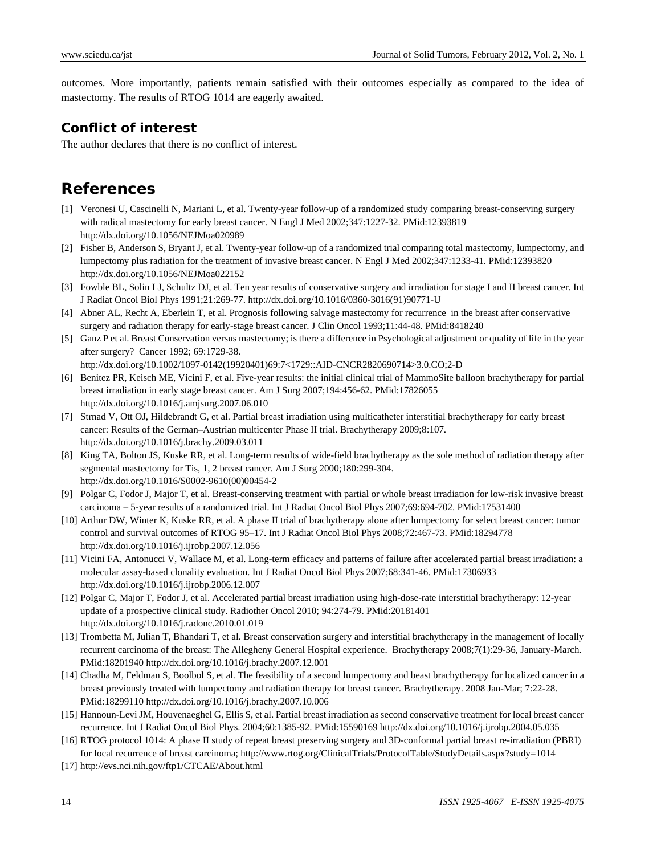outcomes. More importantly, patients remain satisfied with their outcomes especially as compared to the idea of mastectomy. The results of RTOG 1014 are eagerly awaited.

#### **Conflict of interest**

The author declares that there is no conflict of interest.

## **References**

- [1] Veronesi U, Cascinelli N, Mariani L, et al. Twenty-year follow-up of a randomized study comparing breast-conserving surgery with radical mastectomy for early breast cancer. N Engl J Med 2002;347:1227-32. PMid:12393819 http://dx.doi.org/10.1056/NEJMoa020989
- [2] Fisher B, Anderson S, Bryant J, et al. Twenty-year follow-up of a randomized trial comparing total mastectomy, lumpectomy, and lumpectomy plus radiation for the treatment of invasive breast cancer. N Engl J Med 2002;347:1233-41. PMid:12393820 http://dx.doi.org/10.1056/NEJMoa022152
- [3] Fowble BL, Solin LJ, Schultz DJ, et al. Ten year results of conservative surgery and irradiation for stage I and II breast cancer. Int J Radiat Oncol Biol Phys 1991;21:269-77. http://dx.doi.org/10.1016/0360-3016(91)90771-U
- [4] Abner AL, Recht A, Eberlein T, et al. Prognosis following salvage mastectomy for recurrence in the breast after conservative surgery and radiation therapy for early-stage breast cancer. J Clin Oncol 1993;11:44-48. PMid:8418240
- [5] Ganz P et al. Breast Conservation versus mastectomy; is there a difference in Psychological adjustment or quality of life in the year after surgery? Cancer 1992; 69:1729-38.

http://dx.doi.org/10.1002/1097-0142(19920401)69:7<1729::AID-CNCR2820690714>3.0.CO;2-D

- [6] Benitez PR, Keisch ME, Vicini F, et al. Five-year results: the initial clinical trial of MammoSite balloon brachytherapy for partial breast irradiation in early stage breast cancer. Am J Surg 2007;194:456-62. PMid:17826055 http://dx.doi.org/10.1016/j.amjsurg.2007.06.010
- [7] Strnad V, Ott OJ, Hildebrandt G, et al. Partial breast irradiation using multicatheter interstitial brachytherapy for early breast cancer: Results of the German–Austrian multicenter Phase II trial. Brachytherapy 2009;8:107. http://dx.doi.org/10.1016/j.brachy.2009.03.011
- [8] King TA, Bolton JS, Kuske RR, et al. Long-term results of wide-field brachytherapy as the sole method of radiation therapy after segmental mastectomy for Tis, 1, 2 breast cancer. Am J Surg 2000;180:299-304. http://dx.doi.org/10.1016/S0002-9610(00)00454-2
- [9] Polgar C, Fodor J, Major T, et al. Breast-conserving treatment with partial or whole breast irradiation for low-risk invasive breast carcinoma – 5-year results of a randomized trial. Int J Radiat Oncol Biol Phys 2007;69:694-702. PMid:17531400
- [10] Arthur DW, Winter K, Kuske RR, et al. A phase II trial of brachytherapy alone after lumpectomy for select breast cancer: tumor control and survival outcomes of RTOG 95–17. Int J Radiat Oncol Biol Phys 2008;72:467-73. PMid:18294778 http://dx.doi.org/10.1016/j.ijrobp.2007.12.056
- [11] Vicini FA, Antonucci V, Wallace M, et al. Long-term efficacy and patterns of failure after accelerated partial breast irradiation: a molecular assay-based clonality evaluation. Int J Radiat Oncol Biol Phys 2007;68:341-46. PMid:17306933 http://dx.doi.org/10.1016/j.ijrobp.2006.12.007
- [12] Polgar C, Major T, Fodor J, et al. Accelerated partial breast irradiation using high-dose-rate interstitial brachytherapy: 12-year update of a prospective clinical study. Radiother Oncol 2010; 94:274-79. PMid:20181401 http://dx.doi.org/10.1016/j.radonc.2010.01.019
- [13] Trombetta M, Julian T, Bhandari T, et al. Breast conservation surgery and interstitial brachytherapy in the management of locally recurrent carcinoma of the breast: The Allegheny General Hospital experience. Brachytherapy 2008;7(1):29-36, January-March. PMid:18201940 http://dx.doi.org/10.1016/j.brachy.2007.12.001
- [14] Chadha M, Feldman S, Boolbol S, et al. The feasibility of a second lumpectomy and beast brachytherapy for localized cancer in a breast previously treated with lumpectomy and radiation therapy for breast cancer. Brachytherapy. 2008 Jan-Mar; 7:22-28. PMid:18299110 http://dx.doi.org/10.1016/j.brachy.2007.10.006
- [15] Hannoun-Levi JM, Houvenaeghel G, Ellis S, et al. Partial breast irradiation as second conservative treatment for local breast cancer recurrence. Int J Radiat Oncol Biol Phys. 2004;60:1385-92. PMid:15590169 http://dx.doi.org/10.1016/j.ijrobp.2004.05.035
- [16] RTOG protocol 1014: A phase II study of repeat breast preserving surgery and 3D-conformal partial breast re-irradiation (PBRI) for local recurrence of breast carcinoma; http://www.rtog.org/ClinicalTrials/ProtocolTable/StudyDetails.aspx?study=1014
- [17] http://evs.nci.nih.gov/ftp1/CTCAE/About.html